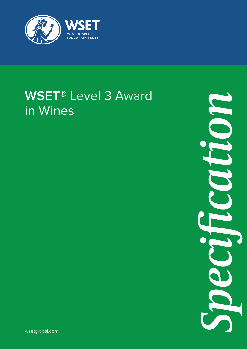

# **WSET<sup>®</sup> Level 3 Award** in Wines

*Specification*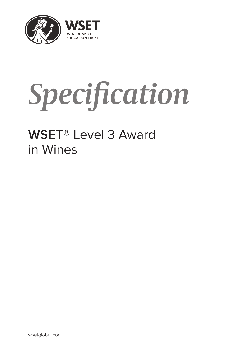

# *Specification*

# **WSET**® Level 3 Award in Wines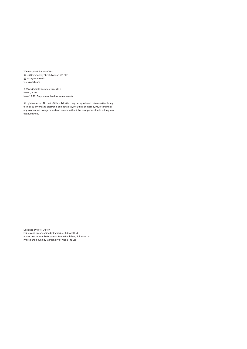Wine & Spirit Education Trust 39–45 Bermondsey Street, London SE1 3XF wset@wset.co.uk wsetglobal.com

© Wine & Spirit Education Trust 2016 Issue 1, 2016 Issue 1.1 2017 (update with minor amendments)

All rights reserved. No part of this publication may be reproduced or transmitted in any form or by any means, electronic or mechanical, including photocopying, recording or any information storage or retrieval system, without the prior permission in writing from the publishers.

Designed by Peter Dolton Editing and proofreading by Cambridge Editorial Ltd Production services by Wayment Print & Publishing Solutions Ltd Printed and bound by Markono Print Media Pte Ltd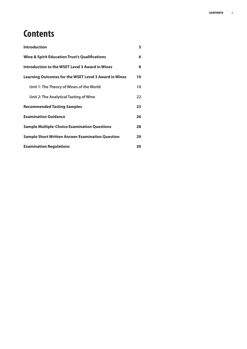## **Contents**

| <b>Introduction</b>                                          | 5  |
|--------------------------------------------------------------|----|
| <b>Wine &amp; Spirit Education Trust's Qualifications</b>    | 6  |
| Introduction to the WSET Level 3 Award in Wines              | 8  |
| <b>Learning Outcomes for the WSET Level 3 Award in Wines</b> | 10 |
| Unit 1: The Theory of Wines of the World                     | 10 |
| Unit 2: The Analytical Tasting of Wine                       | 22 |
| <b>Recommended Tasting Samples</b>                           | 23 |
| <b>Examination Guidance</b>                                  | 26 |
| <b>Sample Multiple-Choice Examination Questions</b>          | 28 |
| <b>Sample Short Written Answer Examination Question</b>      | 29 |
| <b>Examination Regulations</b>                               | 30 |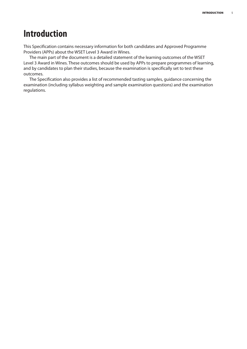## **Introduction**

This Specification contains necessary information for both candidates and Approved Programme Providers (APPs) about the WSET Level 3 Award in Wines.

The main part of the document is a detailed statement of the learning outcomes of the WSET Level 3 Award in Wines. These outcomes should be used by APPs to prepare programmes of learning, and by candidates to plan their studies, because the examination is specifically set to test these outcomes.

The Specification also provides a list of recommended tasting samples, guidance concerning the examination (including syllabus weighting and sample examination questions) and the examination regulations.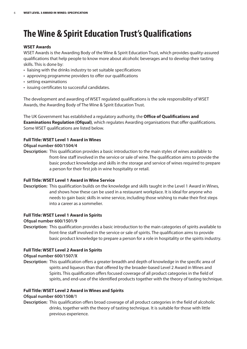## **The Wine & Spirit Education Trust's Qualifications**

#### **WSET Awards**

WSET Awards is the Awarding Body of the Wine & Spirit Education Trust, which provides quality-assured qualifications that help people to know more about alcoholic beverages and to develop their tasting skills. This is done by:

- liaising with the drinks industry to set suitable specifications
- approving programme providers to offer our qualifications
- setting examinations
- issuing certificates to successful candidates.

The development and awarding of WSET regulated qualifications is the sole responsibility of WSET Awards, the Awarding Body of The Wine & Spirit Education Trust.

The UK Government has established a regulatory authority, the **Office of Qualifications and Examinations Regulation (Ofqual)**, which regulates Awarding organisations that offer qualifications. Some WSET qualifications are listed below.

#### **Full Title: WSET Level 1 Award in Wines**

#### **Ofqual number 600/1504/4**

**Description:** This qualification provides a basic introduction to the main styles of wines available to front-line staff involved in the service or sale of wine. The qualification aims to provide the basic product knowledge and skills in the storage and service of wines required to prepare a person for their first job in wine hospitality or retail.

#### **Full Title: WSET Level 1 Award in Wine Service**

**Description:** This qualification builds on the knowledge and skills taught in the Level 1 Award in Wines, and shows how these can be used in a restaurant workplace. It is ideal for anyone who needs to gain basic skills in wine service, including those wishing to make their first steps into a career as a sommelier.

#### **Full Title: WSET Level 1 Award in Spirits**

#### **Ofqual number 600/1501/9**

**Description:** This qualification provides a basic introduction to the main categories of spirits available to front-line staff involved in the service or sale of spirits. The qualification aims to provide basic product knowledge to prepare a person for a role in hospitality or the spirits industry.

#### **Full Title: WSET Level 2 Award in Spirits**

#### **Ofqual number 600/1507/X**

**Description:** This qualification offers a greater breadth and depth of knowledge in the specific area of spirits and liqueurs than that offered by the broader-based Level 2 Award in Wines and Spirits. This qualification offers focused coverage of all product categories in the field of spirits, and end-use of the identified products together with the theory of tasting technique.

#### **Full Title: WSET Level 2 Award in Wines and Spirits**

#### **Ofqual number 600/1508/1**

**Description:** This qualification offers broad coverage of all product categories in the field of alcoholic drinks, together with the theory of tasting technique. It is suitable for those with little previous experience.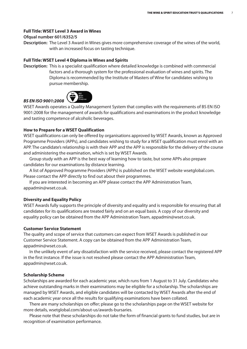#### **Full Title: WSET Level 3 Award in Wines**

#### **Ofqual number 601/6352/5**

**Description:** The Level 3 Award in Wines gives more comprehensive coverage of the wines of the world, with an increased focus on tasting technique.

#### **Full Title: WSET Level 4 Diploma in Wines and Spirits**

**Description:** This is a specialist qualification where detailed knowledge is combined with commercial factors and a thorough system for the professional evaluation of wines and spirits. The Diploma is recommended by the Institute of Masters of Wine for candidates wishing to pursue membership.



*BS EN ISO 9001:2008* WSET Awards operates a Quality Management System that complies with the requirements of BS EN ISO 9001:2008 for the management of awards for qualifications and examinations in the product knowledge and tasting competence of alcoholic beverages.

#### **How to Prepare for a WSET Qualification**

WSET qualifications can only be offered by organisations approved by WSET Awards, known as Approved Programme Providers (APPs), and candidates wishing to study for a WSET qualification must enrol with an APP. The candidate's relationship is with their APP and the APP is responsible for the delivery of the course and administering the examination, which is set by WSET Awards.

Group study with an APP is the best way of learning how to taste, but some APPs also prepare candidates for our examinations by distance learning.

A list of Approved Programme Providers (APPs) is published on the WSET website wsetglobal.com. Please contact the APP directly to find out about their programmes.

If you are interested in becoming an APP please contact the APP Administration Team, appadmin@wset.co.uk.

#### **Diversity and Equality Policy**

WSET Awards fully supports the principle of diversity and equality and is responsible for ensuring that all candidates for its qualifications are treated fairly and on an equal basis. A copy of our diversity and equality policy can be obtained from the APP Administration Team, appadmin@wset.co.uk.

#### **Customer Service Statement**

The quality and scope of service that customers can expect from WSET Awards is published in our Customer Service Statement. A copy can be obtained from the APP Administration Team, appadmin@wset.co.uk.

In the unlikely event of any dissatisfaction with the service received, please contact the registered APP in the first instance. If the issue is not resolved please contact the APP Administration Team, appadmin@wset.co.uk.

#### **Scholarship Scheme**

Scholarships are awarded for each academic year, which runs from 1 August to 31 July. Candidates who achieve outstanding marks in their examinations may be eligible for a scholarship. The scholarships are managed by WSET Awards, and eligible candidates will be contacted by WSET Awards after the end of each academic year once all the results for qualifying examinations have been collated.

There are many scholarships on offer; please go to the scholarships page on the WSET website for more details, wsetglobal.com/about-us/awards-bursaries.

Please note that these scholarships do not take the form of financial grants to fund studies, but are in recognition of examination performance.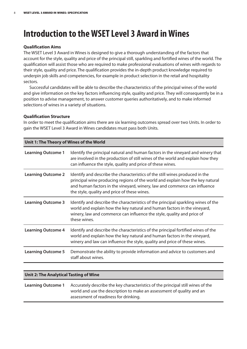## **Introduction to theWSETLevel 3 Award inWines**

#### **Qualification Aims**

The WSET Level 3 Award in Wines is designed to give a thorough understanding of the factors that account for the style, quality and price of the principal still, sparkling and fortified wines of the world. The qualification will assist those who are required to make professional evaluations of wines with regards to their style, quality and price. The qualification provides the in-depth product knowledge required to underpin job skills and competencies, for example in product selection in the retail and hospitality sectors.

Successful candidates will be able to describe the characteristics of the principal wines of the world and give information on the key factors influencing style, quality and price. They will consequently be in a position to advise management, to answer customer queries authoritatively, and to make informed selections of wines in a variety of situations.

#### **Qualification Structure**

In order to meet the qualification aims there are six learning outcomes spread over two Units. In order to gain the WSET Level 3 Award in Wines candidates must pass both Units.

| Unit 1: The Theory of Wines of the World |                                                                                                                                                                                                                                                                                            |  |
|------------------------------------------|--------------------------------------------------------------------------------------------------------------------------------------------------------------------------------------------------------------------------------------------------------------------------------------------|--|
| <b>Learning Outcome 1</b>                | Identify the principal natural and human factors in the vineyard and winery that<br>are involved in the production of still wines of the world and explain how they<br>can influence the style, quality and price of these wines.                                                          |  |
| <b>Learning Outcome 2</b>                | Identify and describe the characteristics of the still wines produced in the<br>principal wine producing regions of the world and explain how the key natural<br>and human factors in the vineyard, winery, law and commerce can influence<br>the style, quality and price of these wines. |  |
| <b>Learning Outcome 3</b>                | Identify and describe the characteristics of the principal sparkling wines of the<br>world and explain how the key natural and human factors in the vineyard,<br>winery, law and commerce can influence the style, quality and price of<br>these wines.                                    |  |
| <b>Learning Outcome 4</b>                | Identify and describe the characteristics of the principal fortified wines of the<br>world and explain how the key natural and human factors in the vineyard,<br>winery and law can influence the style, quality and price of these wines.                                                 |  |
| <b>Learning Outcome 5</b>                | Demonstrate the ability to provide information and advice to customers and<br>staff about wines.                                                                                                                                                                                           |  |
|                                          |                                                                                                                                                                                                                                                                                            |  |

| Unit 2: The Analytical Tasting of Wine |                                                                                                                                                                                                   |  |
|----------------------------------------|---------------------------------------------------------------------------------------------------------------------------------------------------------------------------------------------------|--|
| <b>Learning Outcome 1</b>              | Accurately describe the key characteristics of the principal still wines of the<br>world and use the description to make an assessment of quality and an<br>assessment of readiness for drinking. |  |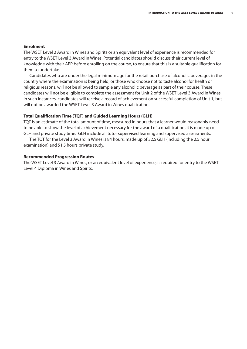#### **Enrolment**

The WSET Level 2 Award in Wines and Spirits or an equivalent level of experience is recommended for entry to the WSET Level 3 Award in Wines. Potential candidates should discuss their current level of knowledge with their APP before enrolling on the course, to ensure that this is a suitable qualification for them to undertake.

Candidates who are under the legal minimum age for the retail purchase of alcoholic beverages in the country where the examination is being held, or those who choose not to taste alcohol for health or religious reasons, will not be allowed to sample any alcoholic beverage as part of their course. These candidates will not be eligible to complete the assessment for Unit 2 of the WSET Level 3 Award in Wines. In such instances, candidates will receive a record of achievement on successful completion of Unit 1, but will not be awarded the WSET Level 3 Award in Wines qualification.

#### **Total Qualification Time (TQT) and Guided Learning Hours (GLH)**

TQT is an estimate of the total amount of time, measured in hours that a learner would reasonably need to be able to show the level of achievement necessary for the award of a qualification, it is made up of GLH and private study time. GLH include all tutor supervised learning and supervised assessments.

The TQT for the Level 3 Award in Wines is 84 hours, made up of 32.5 GLH (including the 2.5 hour examination) and 51.5 hours private study.

#### **Recommended Progression Routes**

The WSET Level 3 Award in Wines, or an equivalent level of experience, is required for entry to the WSET Level 4 Diploma in Wines and Spirits.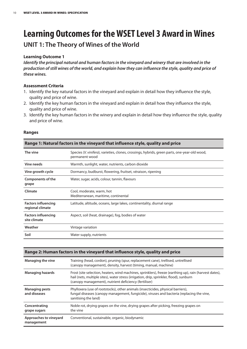## **Learning Outcomesfor theWSETLevel 3 Award inWines UNIT 1: The Theory of Wines of the World**

#### **Learning Outcome 1**

*Identify the principal natural and human factorsin the vineyard and winery that are involved in the* production of still wines of the world, and explain how they can influence the style, quality and price of *these wines.*

#### **Assessment Criteria**

- 1. Identify the key natural factors in the vineyard and explain in detail how they influence the style, quality and price of wine.
- 2. Identify the key human factors in the vineyard and explain in detail how they influence the style, quality and price of wine.
- 3. Identify the key human factors in the winery and explain in detail how they influence the style, quality and price of wine.

#### **Ranges**

| Range 1: Natural factors in the vineyard that influence style, quality and price |                                                                                                                 |  |
|----------------------------------------------------------------------------------|-----------------------------------------------------------------------------------------------------------------|--|
| The vine                                                                         | Species (V. vinifera), varieties, clones, crossings, hybrids, green parts, one-year-old wood,<br>permanent wood |  |
| Vine needs                                                                       | Warmth, sunlight, water, nutrients, carbon dioxide                                                              |  |
| Vine growth cycle                                                                | Dormancy, budburst, flowering, fruitset, véraison, ripening                                                     |  |
| Components of the<br>grape                                                       | Water, sugar, acids, colour, tannin, flavours                                                                   |  |
| Climate                                                                          | Cool, moderate, warm, hot<br>Mediterranean, maritime, continental                                               |  |
| <b>Factors influencing</b><br>regional climate                                   | Latitude, altitude, oceans, large lakes, continentality, diurnal range                                          |  |
| <b>Factors influencing</b><br>site climate                                       | Aspect, soil (heat, drainage), fog, bodies of water                                                             |  |
| Weather                                                                          | Vintage variation                                                                                               |  |
| Soil                                                                             | Water supply, nutrients                                                                                         |  |

#### **Range 2: Human factors in the vineyard that influence style, quality and price**

| Managing the vine                     | Training (head, cordon), pruning (spur, replacement cane), trellised, untrellised<br>(canopy management), density, harvest (timing, manual, machine)                                                                                                        |
|---------------------------------------|-------------------------------------------------------------------------------------------------------------------------------------------------------------------------------------------------------------------------------------------------------------|
| <b>Managing hazards</b>               | Frost (site selection, heaters, wind machines, sprinklers), freeze (earthing up), rain (harvest dates),<br>hail (nets, multiple sites), water stress (irrigation, drip, sprinkler, flood), sunburn<br>(canopy management), nutrient deficiency (fertiliser) |
| <b>Managing pests</b><br>and diseases | Phylloxera (use of rootstocks), other animals (insecticides, physical barriers),<br>fungal diseases (canopy management, fungicide), viruses and bacteria (replacing the vine,<br>sanitising the land)                                                       |
| Concentrating<br>grape sugars         | Noble rot, drying grapes on the vine, drying grapes after picking, freezing grapes on<br>the vine                                                                                                                                                           |
| Approaches to vineyard<br>management  | Conventional, sustainable, organic, biodynamic                                                                                                                                                                                                              |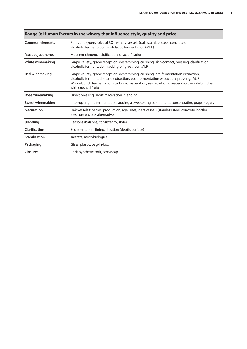| <b>Common elements</b>  | Roles of oxygen, roles of $SO_2$ , winery vessels (oak, stainless steel, concrete),<br>alcoholic fermentation, malolactic fermentation (MLF)                                                                                                                                              |  |
|-------------------------|-------------------------------------------------------------------------------------------------------------------------------------------------------------------------------------------------------------------------------------------------------------------------------------------|--|
| Must adjustments        | Must enrichment, acidification, deacidification                                                                                                                                                                                                                                           |  |
| <b>White winemaking</b> | Grape variety, grape reception, destemming, crushing, skin contact, pressing, clarification<br>alcoholic fermentation, racking off gross lees, MLF                                                                                                                                        |  |
| <b>Red winemaking</b>   | Grape variety, grape reception, destemming, crushing, pre-fermentation extraction,<br>alcoholic fermentation and extraction, post-fermentation extraction, pressing, MLF<br>Whole bunch fermentation (carbonic maceration, semi-carbonic maceration, whole bunches<br>with crushed fruit) |  |
| Rosé winemaking         | Direct pressing, short maceration, blending                                                                                                                                                                                                                                               |  |
| Sweet winemaking        | Interrupting the fermentation, adding a sweetening component, concentrating grape sugars                                                                                                                                                                                                  |  |
| <b>Maturation</b>       | Oak vessels (species, production, age, size), inert vessels (stainless steel, concrete, bottle),<br>lees contact, oak alternatives                                                                                                                                                        |  |
| <b>Blending</b>         | Reasons (balance, consistency, style)                                                                                                                                                                                                                                                     |  |
| Clarification           | Sedimentation, fining, filtration (depth, surface)                                                                                                                                                                                                                                        |  |
| <b>Stabilisation</b>    | Tartrate, microbiological                                                                                                                                                                                                                                                                 |  |
| Packaging               | Glass, plastic, bag-in-box                                                                                                                                                                                                                                                                |  |
| <b>Closures</b>         | Cork, synthetic cork, screw cap                                                                                                                                                                                                                                                           |  |

#### **Range 3: Human factors in the winery that influence style, quality and price**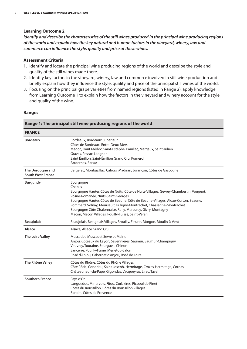#### **Learning Outcome 2**

*Identify and describe the characteristics of the still wines produced in the principal wine producing regions of the world and explain how the key natural and human factorsin the vineyard, winery, law and commerce can influence the style, quality and price of these wines.*

#### **Assessment Criteria**

- 1. Identify and locate the principal wine producing regions of the world and describe the style and quality of the still wines made there.
- 2. Identify key factors in the vineyard, winery, law and commerce involved in still wine production and briefly explain how they influence the style, quality and price of the principal still wines of the world.
- 3. Focusing on the principal grape varieties from named regions (listed in Range 2), apply knowledge from Learning Outcome 1 to explain how the factors in the vineyard and winery account for the style and quality of the wine.

#### **Ranges**

|                                              | Range 1: The principal still wine producing regions of the world                                                                                                                                                                                                                                                                                                                                                                     |  |  |
|----------------------------------------------|--------------------------------------------------------------------------------------------------------------------------------------------------------------------------------------------------------------------------------------------------------------------------------------------------------------------------------------------------------------------------------------------------------------------------------------|--|--|
| <b>FRANCE</b>                                |                                                                                                                                                                                                                                                                                                                                                                                                                                      |  |  |
| <b>Bordeaux</b>                              | Bordeaux, Bordeaux Supérieur<br>Côtes de Bordeaux, Entre-Deux-Mers<br>Médoc, Haut Médoc, Saint-Estèphe, Pauillac, Margaux, Saint-Julien<br>Graves, Pessac-Léognan<br>Saint Émilion, Saint-Émilion Grand Cru, Pomerol<br>Sauternes, Barsac                                                                                                                                                                                            |  |  |
| The Dordogne and<br><b>South West France</b> | Bergerac, Monbazillac, Cahors, Madiran, Jurançon, Côtes de Gascogne                                                                                                                                                                                                                                                                                                                                                                  |  |  |
| <b>Burgundy</b>                              | Bourgogne<br>Chablis<br>Bourgogne Hautes Côtes de Nuits, Côte de Nuits-Villages, Gevrey-Chambertin, Vougeot,<br>Vosne-Romanée, Nuits-Saint-Georges<br>Bourgogne Hautes Côtes de Beaune, Côte de Beaune-Villages, Aloxe-Corton, Beaune,<br>Pommard, Volnay, Meursault, Puligny-Montrachet, Chassagne-Montrachet<br>Bourgogne Côte Chalonnaise, Rully, Mercurey, Givry, Montagny<br>Mâcon, Mâcon Villages, Pouilly-Fuissé, Saint-Véran |  |  |
| <b>Beaujolais</b>                            | Beaujolais, Beaujolais Villages, Brouilly, Fleurie, Morgon, Moulin-à-Vent                                                                                                                                                                                                                                                                                                                                                            |  |  |
| Alsace                                       | Alsace, Alsace Grand Cru                                                                                                                                                                                                                                                                                                                                                                                                             |  |  |
| <b>The Loire Valley</b>                      | Muscadet, Muscadet Sèvre et Maine<br>Anjou, Coteaux du Layon, Savennières, Saumur, Saumur-Champigny<br>Vouvray, Touraine, Bourgueil, Chinon<br>Sancerre, Pouilly-Fumé, Menetou-Salon<br>Rosé d'Anjou, Cabernet d'Anjou, Rosé de Loire                                                                                                                                                                                                |  |  |
| The Rhône Valley                             | Côtes du Rhône, Côtes du Rhône Villages<br>Côte Rôtie, Condrieu, Saint-Joseph, Hermitage, Crozes-Hermitage, Cornas<br>Châteauneuf-du-Pape, Gigondas, Vacqueyras, Lirac, Tavel                                                                                                                                                                                                                                                        |  |  |
| <b>Southern France</b>                       | Pays d'Oc<br>Languedoc, Minervois, Fitou, Corbières, Picpoul de Pinet<br>Côtes du Roussillon, Côtes du Roussillon Villages<br>Bandol, Côtes de Provence                                                                                                                                                                                                                                                                              |  |  |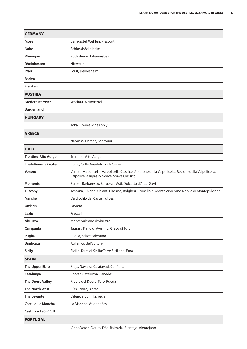| <b>GERMANY</b>             |                                                                                                                                                     |
|----------------------------|-----------------------------------------------------------------------------------------------------------------------------------------------------|
| Mosel                      | Bernkastel, Wehlen, Piesport                                                                                                                        |
| <b>Nahe</b>                | Schlossböckelheim                                                                                                                                   |
| Rheingau                   | Rüdesheim, Johannisberg                                                                                                                             |
| Rheinhessen                | Nierstein                                                                                                                                           |
| <b>Pfalz</b>               | Forst, Deidesheim                                                                                                                                   |
| <b>Baden</b>               |                                                                                                                                                     |
| Franken                    |                                                                                                                                                     |
| <b>AUSTRIA</b>             |                                                                                                                                                     |
| Niederösterreich           | Wachau, Weinviertel                                                                                                                                 |
| <b>Burgenland</b>          |                                                                                                                                                     |
| <b>HUNGARY</b>             |                                                                                                                                                     |
|                            | Tokaj (Sweet wines only)                                                                                                                            |
| <b>GREECE</b>              |                                                                                                                                                     |
|                            | Naoussa, Nemea, Santorini                                                                                                                           |
| <b>ITALY</b>               |                                                                                                                                                     |
| <b>Trentino-Alto Adige</b> | Trentino, Alto Adige                                                                                                                                |
| Friuli-Venezia Giulia      | Collio, Colli Orientali, Friuli Grave                                                                                                               |
| Veneto                     | Veneto, Valpolicella, Valpolicella Classico, Amarone della Valpolicella, Recioto della Valpolicella,<br>Valpolicella Ripasso, Soave, Soave Classico |
| Piemonte                   | Barolo, Barbaresco, Barbera d'Asti, Dolcetto d'Alba, Gavi                                                                                           |
| <b>Tuscany</b>             | Toscana, Chianti, Chianti Classico, Bolgheri, Brunello di Montalcino, Vino Nobile di Montepulciano                                                  |
| Marche                     | Verdicchio dei Castelli di Jesi                                                                                                                     |
| <b>Umbria</b>              | Orvieto                                                                                                                                             |
| Lazio                      | Frascati                                                                                                                                            |
| Abruzzo                    | Montepulciano d'Abruzzo                                                                                                                             |
| Campania                   | Taurasi, Fiano di Avellino, Greco di Tufo                                                                                                           |
| Puglia                     | Puglia, Salice Salentino                                                                                                                            |
| <b>Basilicata</b>          | Aglianico del Vulture                                                                                                                               |
| <b>Sicily</b>              | Sicilia, Terre di Sicilia/Terre Siciliane, Etna                                                                                                     |
| <b>SPAIN</b>               |                                                                                                                                                     |
| The Upper Ebro             | Rioja, Navarra, Calatayud, Cariñena                                                                                                                 |
| Catalunya                  | Priorat, Catalunya, Penedès                                                                                                                         |
| The Duero Valley           | Ribera del Duero, Toro, Rueda                                                                                                                       |
| The North West             | Rías Baixas, Bierzo                                                                                                                                 |
| <b>The Levante</b>         | Valencia, Jumilla, Yecla                                                                                                                            |
| Castilla-La Mancha         | La Mancha, Valdepeñas                                                                                                                               |
| Castilla y León VdlT       |                                                                                                                                                     |
| <b>PORTUGAL</b>            |                                                                                                                                                     |
|                            |                                                                                                                                                     |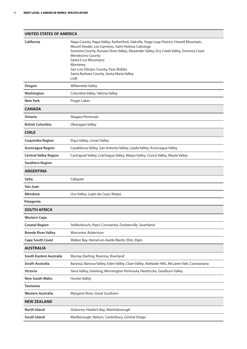| <b>UNITED STATES OF AMERICA</b> |                                                                                                                                                                                                                                                                                                                                                                                                 |  |  |
|---------------------------------|-------------------------------------------------------------------------------------------------------------------------------------------------------------------------------------------------------------------------------------------------------------------------------------------------------------------------------------------------------------------------------------------------|--|--|
| California                      | Napa County, Napa Valley, Rutherford, Oakville, Stags Leap District, Howell Mountain,<br>Mount Veeder, Los Carneros, Saint Helena, Calistoga<br>Sonoma County, Russian River Valley, Alexander Valley, Dry Creek Valley, Sonoma Coast<br>Mendocino County<br><b>Santa Cruz Mountains</b><br>Monterey<br>San Luis Obispo County, Paso Robles<br>Santa Barbara County, Santa Maria Valley<br>Lodi |  |  |
| Oregon                          | <b>Willamette Valley</b>                                                                                                                                                                                                                                                                                                                                                                        |  |  |
| Washington                      | Columbia Valley, Yakima Valley                                                                                                                                                                                                                                                                                                                                                                  |  |  |
| New York                        | <b>Finger Lakes</b>                                                                                                                                                                                                                                                                                                                                                                             |  |  |
| <b>CANADA</b>                   |                                                                                                                                                                                                                                                                                                                                                                                                 |  |  |
| <b>Ontario</b>                  | Niagara Peninsula                                                                                                                                                                                                                                                                                                                                                                               |  |  |
| <b>British Columbia</b>         | Okanagan Valley                                                                                                                                                                                                                                                                                                                                                                                 |  |  |
| <b>CHILE</b>                    |                                                                                                                                                                                                                                                                                                                                                                                                 |  |  |
| <b>Coquimbo Region</b>          | Elqui Valley, Limarí Valley                                                                                                                                                                                                                                                                                                                                                                     |  |  |
| <b>Aconcagua Region</b>         | Casablanca Valley, San Antonio Valley, Leyda Valley, Aconcagua Valley                                                                                                                                                                                                                                                                                                                           |  |  |
| <b>Central Valley Region</b>    | Cachapoal Valley, Colchagua Valley, Maipo Valley, Curicó Valley, Maule Valley                                                                                                                                                                                                                                                                                                                   |  |  |
| <b>Southern Region</b>          |                                                                                                                                                                                                                                                                                                                                                                                                 |  |  |
| <b>ARGENTINA</b>                |                                                                                                                                                                                                                                                                                                                                                                                                 |  |  |
| <b>Salta</b>                    | Cafayate                                                                                                                                                                                                                                                                                                                                                                                        |  |  |
| San Juan                        |                                                                                                                                                                                                                                                                                                                                                                                                 |  |  |
| Mendoza                         | Uco Valley, Luján de Cuyo, Maipú                                                                                                                                                                                                                                                                                                                                                                |  |  |
| Patagonia                       |                                                                                                                                                                                                                                                                                                                                                                                                 |  |  |
| <b>SOUTH AFRICA</b>             |                                                                                                                                                                                                                                                                                                                                                                                                 |  |  |
| <b>Western Cape</b>             |                                                                                                                                                                                                                                                                                                                                                                                                 |  |  |
| <b>Coastal Region</b>           | Stellenbosch, Paarl, Constantia, Durbanville, Swartland                                                                                                                                                                                                                                                                                                                                         |  |  |
| <b>Breede River Valley</b>      | Worcester, Robertson                                                                                                                                                                                                                                                                                                                                                                            |  |  |
| <b>Cape South Coast</b>         | Walker Bay, Hemel-en-Aarde Wards, Elim, Elgin                                                                                                                                                                                                                                                                                                                                                   |  |  |
| <b>AUSTRALIA</b>                |                                                                                                                                                                                                                                                                                                                                                                                                 |  |  |
| South Eastern Australia         | Murray-Darling, Riverina, Riverland                                                                                                                                                                                                                                                                                                                                                             |  |  |
| South Australia                 | Barossa, Barossa Valley, Eden Valley, Clare Valley, Adelaide Hills, McLaren Vale, Coonawarra                                                                                                                                                                                                                                                                                                    |  |  |
| <b>Victoria</b>                 | Yarra Valley, Geelong, Mornington Peninsula, Heathcote, Goulburn Valley                                                                                                                                                                                                                                                                                                                         |  |  |
| <b>New South Wales</b>          | <b>Hunter Valley</b>                                                                                                                                                                                                                                                                                                                                                                            |  |  |
| <b>Tasmania</b>                 |                                                                                                                                                                                                                                                                                                                                                                                                 |  |  |
| Western Australia               | Margaret River, Great Southern                                                                                                                                                                                                                                                                                                                                                                  |  |  |
| <b>NEW ZEALAND</b>              |                                                                                                                                                                                                                                                                                                                                                                                                 |  |  |
| <b>North Island</b>             | Gisborne, Hawke's Bay, Martinborough                                                                                                                                                                                                                                                                                                                                                            |  |  |
| South Island                    | Marlborough, Nelson, Canterbury, Central Otago                                                                                                                                                                                                                                                                                                                                                  |  |  |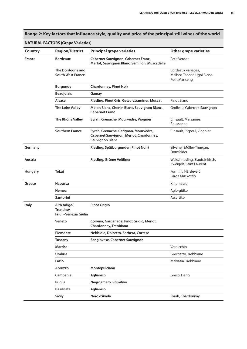## Range 2: Key factors that influence style, quality and price of the principal still wines of the world

#### **NATURAL FACTORS (Grape Varieties)**

| <b>Country</b> | <b>Region/District</b>                            | <b>Principal grape varieties</b>                                                                           | <b>Other grape varieties</b>                                        |
|----------------|---------------------------------------------------|------------------------------------------------------------------------------------------------------------|---------------------------------------------------------------------|
| France         | <b>Bordeaux</b>                                   | Cabernet Sauvignon, Cabernet Franc,<br>Merlot, Sauvignon Blanc, Sémillon, Muscadelle                       | Petit Verdot                                                        |
|                | The Dordogne and<br><b>South West France</b>      |                                                                                                            | Bordeaux varieties,<br>Malbec, Tannat, Ugni Blanc,<br>Petit Manseng |
|                | <b>Burgundy</b>                                   | <b>Chardonnay, Pinot Noir</b>                                                                              |                                                                     |
|                | <b>Beaujolais</b>                                 | Gamay                                                                                                      |                                                                     |
|                | Alsace                                            | Riesling, Pinot Gris, Gewurztraminer, Muscat                                                               | <b>Pinot Blanc</b>                                                  |
|                | The Loire Valley                                  | Melon Blanc, Chenin Blanc, Sauvignon Blanc,<br><b>Cabernet Franc</b>                                       | Grolleau, Cabernet Sauvignon                                        |
|                | The Rhône Valley                                  | Syrah, Grenache, Mourvèdre, Viognier                                                                       | Cinsault, Marsanne,<br>Roussanne                                    |
|                | <b>Southern France</b>                            | Syrah, Grenache, Carignan, Mourvèdre,<br>Cabernet Sauvignon, Merlot, Chardonnay,<br><b>Sauvignon Blanc</b> | Cinsault, Picpoul, Viognier                                         |
| Germany        |                                                   | Riesling, Spätburgunder (Pinot Noir)                                                                       | Silvaner, Müller-Thurgau,<br>Dornfelder                             |
| Austria        |                                                   | Riesling, Grüner Veltliner                                                                                 | Welschriesling, Blaufränkisch,<br>Zweigelt, Saint Laurent           |
| <b>Hungary</b> | Tokaj                                             |                                                                                                            | Furmint, Hárslevelű,<br>Sárga Muskotály                             |
| Greece         | <b>Naoussa</b>                                    |                                                                                                            | Xinomavro                                                           |
|                | Nemea                                             |                                                                                                            | Agiorgitiko                                                         |
|                | <b>Santorini</b>                                  |                                                                                                            | Assyrtiko                                                           |
| <b>Italy</b>   | Alto Adige/<br>Trentino/<br>Friuli-Venezia Giulia | <b>Pinot Grigio</b>                                                                                        |                                                                     |
|                | Veneto                                            | Corvina, Garganega, Pinot Grigio, Merlot,<br>Chardonnay, Trebbiano                                         |                                                                     |
|                | Piemonte                                          | Nebbiolo, Dolcetto, Barbera, Cortese                                                                       |                                                                     |
|                | <b>Tuscany</b>                                    | Sangiovese, Cabernet Sauvignon                                                                             |                                                                     |
|                | Marche                                            |                                                                                                            | Verdicchio                                                          |
|                | Umbria                                            |                                                                                                            | Grechetto, Trebbiano                                                |
|                | Lazio                                             |                                                                                                            | Malvasia, Trebbiano                                                 |
|                | Abruzzo                                           | Montepulciano                                                                                              |                                                                     |
|                | Campania                                          | Aglianico                                                                                                  | Greco, Fiano                                                        |
|                | Puglia                                            | Negroamaro, Primitivo                                                                                      |                                                                     |
|                | <b>Basilicata</b>                                 | Aglianico                                                                                                  |                                                                     |
|                | <b>Sicily</b>                                     | Nero d'Avola                                                                                               | Syrah, Chardonnay                                                   |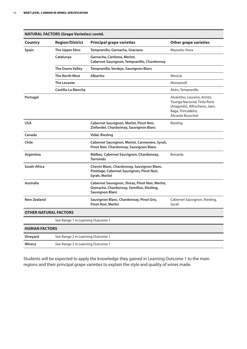|                              |                                   | <b>NATURAL FACTORS (Grape Varieties) contd.</b>                                                                        |                                                                                                                                            |  |  |
|------------------------------|-----------------------------------|------------------------------------------------------------------------------------------------------------------------|--------------------------------------------------------------------------------------------------------------------------------------------|--|--|
| <b>Country</b>               | <b>Region/District</b>            | <b>Principal grape varieties</b>                                                                                       | <b>Other grape varieties</b>                                                                                                               |  |  |
| Spain                        | The Upper Ebro                    | Tempranillo, Garnacha, Graciano                                                                                        | Mazuelo, Viura                                                                                                                             |  |  |
|                              | Catalunya                         | Garnacha, Cariñena, Merlot,<br>Cabernet Sauvignon, Tempranillo, Chardonnay                                             |                                                                                                                                            |  |  |
|                              | <b>The Duero Valley</b>           | Tempranillo, Verdejo, Sauvignon Blanc                                                                                  |                                                                                                                                            |  |  |
|                              | <b>The North West</b>             | <b>Albariño</b>                                                                                                        | Mencía                                                                                                                                     |  |  |
|                              | The Levante                       |                                                                                                                        | Monastrell                                                                                                                                 |  |  |
|                              | Castilla-La Mancha                |                                                                                                                        | Airén, Tempranillo                                                                                                                         |  |  |
| Portugal                     |                                   |                                                                                                                        | Alvarinho, Loureiro, Arinto,<br>Touriga Nacional, Tinta Roriz<br>(Aragonês), Alfrocheiro, Jaen,<br>Baga, Trincadeira,<br>Alicante Bouschet |  |  |
| <b>USA</b>                   |                                   | Cabernet Sauvignon, Merlot, Pinot Noir,<br>Zinfandel, Chardonnay, Sauvignon Blanc                                      | Riesling                                                                                                                                   |  |  |
| Canada                       |                                   | <b>Vidal, Riesling</b>                                                                                                 |                                                                                                                                            |  |  |
| Chile                        |                                   | Cabernet Sauvignon, Merlot, Carmenère, Syrah,<br>Pinot Noir, Chardonnay, Sauvignon Blanc                               |                                                                                                                                            |  |  |
| Argentina                    |                                   | Malbec, Cabernet Sauvignon, Chardonnay,<br><b>Torrontés</b>                                                            | Bonarda                                                                                                                                    |  |  |
| <b>South Africa</b>          |                                   | Chenin Blanc, Chardonnay, Sauvignon Blanc,<br>Pinotage, Cabernet Sauvignon, Pinot Noir,<br>Syrah, Merlot               |                                                                                                                                            |  |  |
| <b>Australia</b>             |                                   | Cabernet Sauvignon, Shiraz, Pinot Noir, Merlot,<br>Grenache, Chardonnay, Semillon, Riesling,<br><b>Sauvignon Blanc</b> |                                                                                                                                            |  |  |
| New Zealand                  |                                   | Sauvignon Blanc, Chardonnay, Pinot Gris,<br><b>Pinot Noir, Merlot</b>                                                  | Cabernet Sauvignon, Riesling,<br>Syrah                                                                                                     |  |  |
| <b>OTHER NATURAL FACTORS</b> |                                   |                                                                                                                        |                                                                                                                                            |  |  |
|                              | See Range 1 in Learning Outcome 1 |                                                                                                                        |                                                                                                                                            |  |  |
| <b>HUMAN FACTORS</b>         |                                   |                                                                                                                        |                                                                                                                                            |  |  |
| Vineyard                     | See Range 2 in Learning Outcome 1 |                                                                                                                        |                                                                                                                                            |  |  |
| Winery                       | See Range 3 in Learning Outcome 1 |                                                                                                                        |                                                                                                                                            |  |  |

Students will be expected to apply the knowledge they gained in Learning Outcome 1 to the main regions and their principal grape varieties to explain the style and quality of wines made.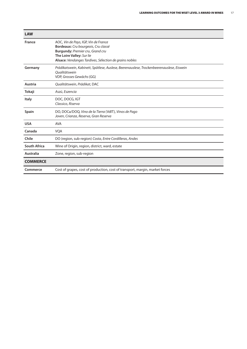| <b>LAW</b>          |                                                                                                                                                                                                        |
|---------------------|--------------------------------------------------------------------------------------------------------------------------------------------------------------------------------------------------------|
| <b>France</b>       | AOC, Vin de Pays, IGP, Vin de France<br>Bordeaux: Cru bourgeois, Cru classé<br>Burgundy: Premier cru, Grand cru<br>The Loire Valley: Sur lie<br>Alsace: Vendanges Tardives, Sélection de grains nobles |
| Germany             | Prädikatswein, Kabinett, Spätlese, Auslese, Beerenauslese, Trockenbeerenauslese, Eiswein<br>Oualitätswein<br>VDP, Grosses Gewächs (GG)                                                                 |
| Austria             | Qualitätswein, Prädikat, DAC                                                                                                                                                                           |
| Tokaji              | Aszú, Eszencia                                                                                                                                                                                         |
| <b>Italy</b>        | DOC, DOCG, IGT<br>Classico, Riserva                                                                                                                                                                    |
| <b>Spain</b>        | DO, DOCa/DOQ, Vino de la Tierra (VdIT), Vinos de Pago<br>Joven, Crianza, Reserva, Gran Reserva                                                                                                         |
| <b>USA</b>          | <b>AVA</b>                                                                                                                                                                                             |
| Canada              | <b>VQA</b>                                                                                                                                                                                             |
| Chile               | DO (region, sub-region) Costa, Entre Cordilleras, Andes                                                                                                                                                |
| <b>South Africa</b> | Wine of Origin, region, district, ward, estate                                                                                                                                                         |
| Australia           | Zone, region, sub-region                                                                                                                                                                               |
| <b>COMMERCE</b>     |                                                                                                                                                                                                        |
| Commerce            | Cost of grapes, cost of production, cost of transport, margin, market forces                                                                                                                           |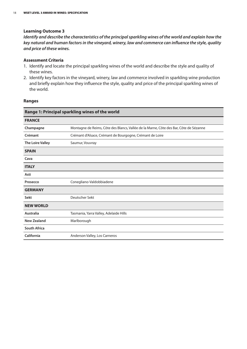#### **Learning Outcome 3**

*Identify and describe the characteristics of the principalsparkling wines of the world and explain how the key natural and human factorsin the vineyard, winery, law and commerce can influence the style, quality and price of these wines.*

#### **Assessment Criteria**

- 1. Identify and locate the principal sparkling wines of the world and describe the style and quality of these wines.
- 2. Identify key factors in the vineyard, winery, law and commerce involved in sparkling wine production and briefly explain how they influence the style, quality and price of the principal sparkling wines of the world.

#### **Ranges**

| Range 1: Principal sparkling wines of the world |                                                                                       |  |  |  |
|-------------------------------------------------|---------------------------------------------------------------------------------------|--|--|--|
| <b>FRANCE</b>                                   |                                                                                       |  |  |  |
| Champagne                                       | Montagne de Reims, Côte des Blancs, Vallée de la Marne, Côte des Bar, Côte de Sézanne |  |  |  |
| Crémant                                         | Crémant d'Alsace, Crémant de Bourgogne, Crémant de Loire                              |  |  |  |
| The Loire Valley                                | Saumur, Vouvray                                                                       |  |  |  |
| <b>SPAIN</b>                                    |                                                                                       |  |  |  |
| Cava                                            |                                                                                       |  |  |  |
| <b>ITALY</b>                                    |                                                                                       |  |  |  |
| Asti                                            |                                                                                       |  |  |  |
| Prosecco                                        | Conegliano-Valdobbiadene                                                              |  |  |  |
| <b>GERMANY</b>                                  |                                                                                       |  |  |  |
| Sekt                                            | Deutscher Sekt                                                                        |  |  |  |
| <b>NEW WORLD</b>                                |                                                                                       |  |  |  |
| Australia                                       | Tasmania, Yarra Valley, Adelaide Hills                                                |  |  |  |
| <b>New Zealand</b>                              | Marlborough                                                                           |  |  |  |
| <b>South Africa</b>                             |                                                                                       |  |  |  |
| California                                      | Anderson Valley, Los Carneros                                                         |  |  |  |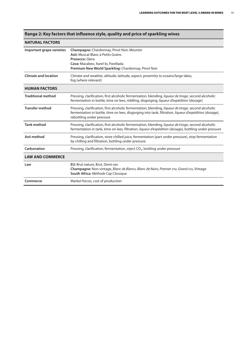|                             | nange 2. ney 10etors that innuence style, quanty and price or sparking wines                                                                                                                                                                |  |  |  |
|-----------------------------|---------------------------------------------------------------------------------------------------------------------------------------------------------------------------------------------------------------------------------------------|--|--|--|
| <b>NATURAL FACTORS</b>      |                                                                                                                                                                                                                                             |  |  |  |
| Important grape varieties   | <b>Champagne:</b> Chardonnay, Pinot Noir, Meunier<br>Asti: Muscat Blanc à Petits Grains<br>Prosecco: Glera<br>Cava: Macabeo, Xarel-lo, Parellada<br>Premium New World Sparkling: Chardonnay, Pinot Noir                                     |  |  |  |
| <b>Climate and location</b> | Climate and weather, altitude, latitude, aspect, proximity to oceans/large lakes,<br>fog (where relevant)                                                                                                                                   |  |  |  |
| <b>HUMAN FACTORS</b>        |                                                                                                                                                                                                                                             |  |  |  |
| <b>Traditional method</b>   | Pressing, clarification, first alcoholic fermentation, blending, <i>liqueur de tirage</i> , second alcoholic<br>fermentation in bottle, time on lees, riddling, disgorging, liqueur d'expédition (dosage)                                   |  |  |  |
| <b>Transfer method</b>      | Pressing, clarification, first alcoholic fermentation, blending, liqueur de tirage, second alcoholic<br>fermentation in bottle, time on lees, disgorging into tank, filtration, liqueur d'expédition (dosage),<br>rebottling under pressure |  |  |  |
| <b>Tank method</b>          | Pressing, clarification, first alcoholic fermentation, blending, liqueur de tirage, second alcoholic<br>fermentation in tank, time on lees, filtration, liqueur d'expédition (dosage), bottling under pressure                              |  |  |  |
| Asti method                 | Pressing, clarification, store chilled juice, fermentation (part under pressure), stop fermentation<br>by chilling and filtration, bottling under pressure                                                                                  |  |  |  |
| Carbonation                 | Pressing, clarification, fermentation, inject CO <sub>2</sub> , bottling under pressure                                                                                                                                                     |  |  |  |
| <b>LAW AND COMMERCE</b>     |                                                                                                                                                                                                                                             |  |  |  |
| Law                         | EU: Brut nature, Brut, Demi-sec<br>Champagne: Non-vintage, Blanc de Blancs, Blanc de Noirs, Premier cru, Grand cru, Vintage<br>South Africa: Méthode Cap Classique                                                                          |  |  |  |
| Commerce                    | Market forces, cost of production                                                                                                                                                                                                           |  |  |  |

#### **Range 2: Key factors that influence style, quality and price of sparkling wines**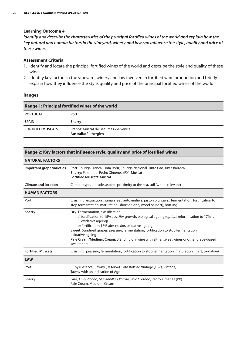#### **Learning Outcome 4**

Identify and describe the characteristics of the principal fortified wines of the world and explain how the key natural and human factors in the vineyard, winery and law can influence the style, quality and price of *these wines.*

#### **Assessment Criteria**

- 1. Identify and locate the principal fortified wines of the world and describe the style and quality of these wines.
- 2. Identify key factors in the vineyard, winery and law involved in fortified wine production and briefly explain how they influence the style, quality and price of the principal fortified wines of the world.

#### **Ranges**

| <b>Range 1: Principal fortified wines of the world</b> |                                                                     |  |
|--------------------------------------------------------|---------------------------------------------------------------------|--|
| <b>PORTUGAL</b>                                        | Port                                                                |  |
| <b>SPAIN</b>                                           | <b>Sherry</b>                                                       |  |
| <b>FORTIFIED MUSCATS</b>                               | <b>France:</b> Muscat de Beaumes-de-Venise<br>Australia: Rutherglen |  |

#### **Range 2: Key factors that influence style, quality and price of fortified wines**

| <b>NATURAL FACTORS</b>      |                                                                                                                                                                                                                                                                                                                                                                                                                                    |  |  |  |
|-----------------------------|------------------------------------------------------------------------------------------------------------------------------------------------------------------------------------------------------------------------------------------------------------------------------------------------------------------------------------------------------------------------------------------------------------------------------------|--|--|--|
| Important grape varieties   | Port: Touriga Franca, Tinta Roriz, Touriga Nacional, Tinto Cão, Tinta Barroca<br>Sherry: Palomino, Pedro Ximénez (PX), Muscat<br><b>Fortified Muscats: Muscat</b>                                                                                                                                                                                                                                                                  |  |  |  |
| <b>Climate and location</b> | Climate type, altitude, aspect, proximity to the sea, soil (where relevant)                                                                                                                                                                                                                                                                                                                                                        |  |  |  |
| <b>HUMAN FACTORS</b>        |                                                                                                                                                                                                                                                                                                                                                                                                                                    |  |  |  |
| Port                        | Crushing, extraction (human feet, autovinifiers, piston plungers), fermentation, fortification to<br>stop fermentation, maturation (short or long, wood or inert), bottling                                                                                                                                                                                                                                                        |  |  |  |
| <b>Sherry</b>               | Dry: Fermentation, classification<br>a) fortification to 15% abv, flor growth, biological ageing (option: refortification to 17%+,<br>oxidative ageing)<br>b) fortification 17% abv, no flor, oxidative ageing<br>Sweet: Sundried grapes, pressing, fermentation, fortification to stop fermentation,<br>oxidative ageing<br>Pale Cream/Medium/Cream: Blending dry wine with either sweet wines or other grape-based<br>sweeteners |  |  |  |
| <b>Fortified Muscats</b>    | Crushing, pressing, fermentation, fortification to stop fermentation, maturation (inert, oxidative)                                                                                                                                                                                                                                                                                                                                |  |  |  |
| <b>LAW</b>                  |                                                                                                                                                                                                                                                                                                                                                                                                                                    |  |  |  |
| Port                        | Ruby (Reserve), Tawny (Reserve), Late Bottled Vintage (LBV), Vintage,<br>Tawny with an Indication of Age                                                                                                                                                                                                                                                                                                                           |  |  |  |
| <b>Sherry</b>               | Fino, Amontillado, Manzanilla, Oloroso, Palo Cortado, Pedro Ximénez (PX)<br>Pale Cream, Medium, Cream                                                                                                                                                                                                                                                                                                                              |  |  |  |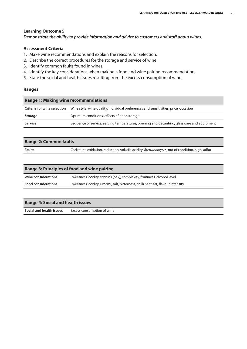#### **Learning Outcome 5**

*Demonstrate the ability to provide information and advice to customers and staff about wines.*

#### **Assessment Criteria**

- 1. Make wine recommendations and explain the reasons for selection.
- 2. Describe the correct procedures for the storage and service of wine.
- 3. Identify common faults found in wines.
- 4. Identify the key considerations when making a food and wine pairing recommendation.
- 5. State the social and health issues resulting from the excess consumption of wine.

#### **Ranges**

| <b>Range 1: Making wine recommendations</b> |                                                                                           |  |  |
|---------------------------------------------|-------------------------------------------------------------------------------------------|--|--|
| Criteria for wine selection                 | Wine style, wine quality, individual preferences and sensitivities, price, occasion       |  |  |
| Storage                                     | Optimum conditions, effects of poor storage                                               |  |  |
| Service                                     | Sequence of service, serving temperatures, opening and decanting, glassware and equipment |  |  |

#### **Range 2: Common faults**

Faults **Faults** Cork taint, oxidation, reduction, volatile acidity, *Brettanomyces*, out of condition, high sulfur

| <b>Range 3: Principles of food and wine pairing</b> |                                                                                  |  |  |
|-----------------------------------------------------|----------------------------------------------------------------------------------|--|--|
| Wine considerations                                 | Sweetness, acidity, tannins (oak), complexity, fruitiness, alcohol level         |  |  |
| <b>Food considerations</b>                          | Sweetness, acidity, umami, salt, bitterness, chilli heat, fat, flavour intensity |  |  |
|                                                     |                                                                                  |  |  |

#### **Range 4: Social and health issues**

**Social and health issues** Excess consumption of wine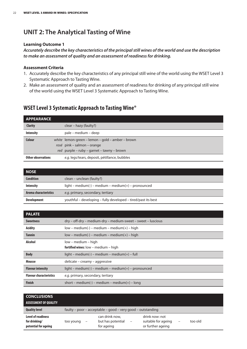## **UNIT 2: The Analytical Tasting of Wine**

#### **Learning Outcome 1**

*Accurately describe the key characteristics of the principalstill wines of the world and use the description to make an assessment of quality and an assessment of readinessfor drinking.*

#### **Assessment Criteria**

- 1. Accurately describe the key characteristics of any principal still wine of the world using the WSET Level 3 Systematic Approach to Tasting Wine.
- 2. Make an assessment of quality and an assessment of readiness for drinking of any principal still wine of the world using the WSET Level 3 Systematic Approach to Tasting Wine.

### **WSETLevel 3 Systematic Approach to TastingWine®**

| <b>APPEARANCE</b>         |                                                  |
|---------------------------|--------------------------------------------------|
| <b>Clarity</b>            | clear – hazy (faulty?)                           |
| <b>Intensity</b>          | pale – medium – deep                             |
| <b>Colour</b>             | white lemon-green – lemon – gold – amber – brown |
|                           | rosé pink – salmon – orange                      |
|                           | red purple - ruby - garnet - tawny - brown       |
| <b>Other observations</b> | e.g. legs/tears, deposit, pétillance, bubbles    |

| <b>NOSE</b>           |                                                               |  |
|-----------------------|---------------------------------------------------------------|--|
| <b>Condition</b>      | clean – unclean (faulty?)                                     |  |
| <b>Intensity</b>      | $light - medium(-) - medium - medium(+) - pronounced$         |  |
| Aroma characteristics | e.g. primary, secondary, tertiary                             |  |
| <b>Development</b>    | youthful – developing – fully developed – tired/past its best |  |

| <b>PALATE</b>                  |                                                               |  |  |
|--------------------------------|---------------------------------------------------------------|--|--|
| <b>Sweetness</b>               | dry – off-dry – medium-dry – medium-sweet – sweet – luscious  |  |  |
| <b>Acidity</b>                 | $low - medium(-) - medium - medium(+) - high$                 |  |  |
| <b>Tannin</b>                  | $low - medium(-) - medium - medium(+) - high$                 |  |  |
| <b>Alcohol</b>                 | low – medium – high<br>fortified wines: $low - medium - high$ |  |  |
| <b>Body</b>                    | $light - medium(-) - medium - medium(+) - full$               |  |  |
| <b>Mousse</b>                  | delicate – creamy – aggressive                                |  |  |
| <b>Flavour intensity</b>       | $light - medium(-) - medium - medium(+) - pronounced$         |  |  |
| <b>Flavour characteristics</b> | e.g. primary, secondary, tertiary                             |  |  |
| <b>Finish</b>                  | short – medium(-) – medium – medium(+) – long                 |  |  |

| <b>CONCLUSIONS</b><br><b>ASSESSMENT OF QUALITY</b>                 |                                                             |                                                                        |                                                            |                   |         |
|--------------------------------------------------------------------|-------------------------------------------------------------|------------------------------------------------------------------------|------------------------------------------------------------|-------------------|---------|
| <b>Quality level</b>                                               | faulty – poor – acceptable – good – very good – outstanding |                                                                        |                                                            |                   |         |
| <b>Level of readiness</b><br>for drinking/<br>potential for ageing | too young<br>$\qquad \qquad -$                              | can drink now,<br>but has potential<br>$\qquad \qquad -$<br>for ageing | drink now: not<br>suitable for ageing<br>or further ageing | $\qquad \qquad -$ | too old |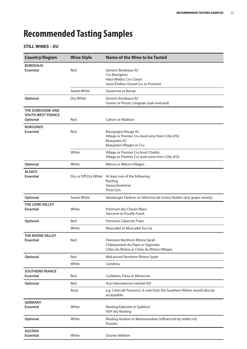## **Recommended Tasting Samples**

#### **STILL WINES – EU**

| <b>Country/Region</b>                                    | <b>Wine Style</b>    | <b>Name of the Wine to be Tasted</b>                                                                                  |
|----------------------------------------------------------|----------------------|-----------------------------------------------------------------------------------------------------------------------|
| <b>BORDEAUX</b><br><b>Essential</b>                      | Red                  | Generic Bordeaux AC<br>Cru Bourgeois<br>Haut-Médoc Cru Classé<br>Saint-Émilion Grand Cru or Pomerol                   |
|                                                          | <b>Sweet White</b>   | Sauternes or Barsac                                                                                                   |
| Optional                                                 | Dry White            | Generic Bordeaux AC<br>Graves or Pessac-Léognan (oak-matured)                                                         |
| THE DORDOGNE AND<br><b>SOUTH WEST FRANCE</b><br>Optional | Red                  | Cahors or Madiran                                                                                                     |
| <b>BURGUNDY</b><br><b>Essential</b>                      | Red                  | Bourgogne Rouge AC<br>Village or Premier Cru level wine from Côte d'Or<br>Beaujolais AC<br>Beaujolais Villages or Cru |
|                                                          | White                | Village or Premier Cru level Chablis<br>Village or Premier Cru level wine from Côte d'Or                              |
| Optional                                                 | White                | Mâcon or Mâcon Villages                                                                                               |
| <b>ALSACE</b><br><b>Essential</b>                        | Dry or Off-Dry White | At least one of the following:<br>Riesling<br>Gewurztraminer<br><b>Pinot Gris</b>                                     |
| Optional                                                 | <b>Sweet White</b>   | Vendanges Tardives or Sélection de Grains Nobles (any grape variety)                                                  |
| THE LOIRE VALLEY<br><b>Essential</b>                     | White                | Premium dry Chenin Blanc<br>Sancerre or Pouilly-Fumé                                                                  |
| Optional                                                 | Red                  | <b>Premium Cabernet Franc</b>                                                                                         |
|                                                          | White                | Muscadet or Muscadet Sur Lie                                                                                          |
| THE RHÔNE VALLEY<br><b>Essential</b>                     | Red                  | Premium Northern Rhône Syrah<br>Châteauneuf-du-Pape or Gigondas<br>Côtes du Rhône or Côtes du Rhône Villages          |
| Optional                                                 | Red                  | Mid-priced Northern Rhône Syrah                                                                                       |
|                                                          | White                | Condrieu                                                                                                              |
| <b>SOUTHERN FRANCE</b><br><b>Essential</b>               | Red                  | Corbières, Fitou or Minervois                                                                                         |
| Optional                                                 | Red                  | Any international varietal IGP                                                                                        |
|                                                          | Rosé                 | e.g. Côtes de Provence. A rosé from the Southern Rhône would also be<br>acceptable.                                   |
| <b>GERMANY</b><br><b>Essential</b>                       | White                | Riesling Kabinett or Spätlese<br>VDP dry Riesling                                                                     |
| Optional                                                 | White                | Riesling Auslese or Beerenauslese (influenced by noble rot)<br>Eiswein                                                |
| <b>AUSTRIA</b><br><b>Essential</b>                       | White                | Grüner Veltliner                                                                                                      |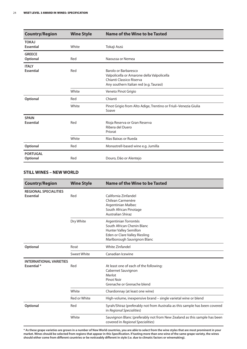| <b>Country/Region</b>            | <b>Wine Style</b> | <b>Name of the Wine to be Tasted</b>                                                                                                      |
|----------------------------------|-------------------|-------------------------------------------------------------------------------------------------------------------------------------------|
| <b>TOKAJ</b><br><b>Essential</b> | White             | Tokaji Aszú                                                                                                                               |
| <b>GREECE</b><br>Optional        | Red               | Naoussa or Nemea                                                                                                                          |
| <b>ITALY</b><br><b>Essential</b> | Red               | Barolo or Barbaresco<br>Valpolicella or Amarone della Valpolicella<br>Chianti Classico Riserva<br>Any southern Italian red (e.g. Taurasi) |
|                                  | White             | Veneto Pinot Grigio                                                                                                                       |
| Optional                         | Red               | Chianti                                                                                                                                   |
|                                  | White             | Pinot Grigio from Alto Adige, Trentino or Friuli-Venezia Giulia<br>Soave                                                                  |
| <b>SPAIN</b><br>Essential        | Red               | Rioja Reserva or Gran Reserva<br>Ribera del Duero<br>Priorat                                                                              |
|                                  | White             | Rías Baixas or Rueda                                                                                                                      |
| Optional                         | Red               | Monastrell-based wine e.g. Jumilla                                                                                                        |
| <b>PORTUGAL</b><br>Optional      | Red               | Douro, Dão or Alentejo                                                                                                                    |

#### **STILL WINES – NEW WORLD**

| <b>Country/Region</b>                                    | <b>Wine Style</b>  | Name of the Wine to be Tasted                                                                                                                 |
|----------------------------------------------------------|--------------------|-----------------------------------------------------------------------------------------------------------------------------------------------|
| <b>REGIONAL SPECIALITIES</b><br><b>Essential</b>         | Red                | California Zinfandel<br>Chilean Carmenère<br>Argentinian Malbec<br>South African Pinotage<br><b>Australian Shiraz</b>                         |
|                                                          | Dry White          | Argentinian Torrontés<br>South African Chenin Blanc<br>Hunter Valley Semillon<br>Eden or Clare Valley Riesling<br>Marlborough Sauvignon Blanc |
| Optional                                                 | Rosé               | <b>White Zinfandel</b>                                                                                                                        |
|                                                          | <b>Sweet White</b> | Canadian Icewine                                                                                                                              |
| <b>INTERNATIONAL VARIETIES</b><br>Essential <sup>*</sup> | Red                | At least one of each of the following:<br>Cabernet Sauvignon<br>Merlot<br><b>Pinot Noir</b><br>Grenache or Grenache blend                     |
|                                                          | White              | Chardonnay (at least one wine)                                                                                                                |
|                                                          | Red or White       | High-volume, inexpensive brand - single varietal wine or blend                                                                                |
| Optional                                                 | Red                | Syrah/Shiraz (preferably not from Australia as this sample has been covered<br>in Regional Specialities)                                      |
|                                                          | White              | Sauvignon Blanc (preferably not from New Zealand as this sample has been<br>covered in Regional Specialities)                                 |

\* As these grape varieties are grown in a number of New World countries, you are able to select from the wine styles that are most prominent in your market. Wines should be selected from regions that appear in this Specification. If tasting more than one wine of the same grape variety, the wines should either come from different countries or be noticeably different in style (i.e. due to climatic factors or winemaking).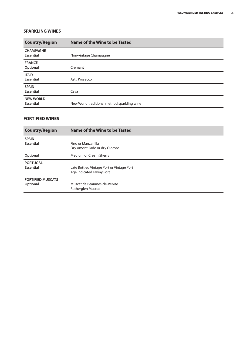#### **SPARKLING WINES**

| <b>Country/Region</b>                | Name of the Wine to be Tasted               |  |
|--------------------------------------|---------------------------------------------|--|
| <b>CHAMPAGNE</b><br><b>Essential</b> | Non-vintage Champagne                       |  |
| <b>FRANCE</b><br>Optional            | Crémant                                     |  |
| <b>ITALY</b><br>Essential            | Asti, Prosecco                              |  |
| <b>SPAIN</b><br><b>Essential</b>     | Cava                                        |  |
| <b>NEW WORLD</b><br><b>Essential</b> | New World traditional method sparkling wine |  |

#### **FORTIFIED WINES**

| <b>Country/Region</b>    | Name of the Wine to be Tasted             |  |
|--------------------------|-------------------------------------------|--|
| <b>SPAIN</b>             | Fino or Manzanilla                        |  |
| Essential                | Dry Amontillado or dry Oloroso            |  |
| Optional                 | Medium or Cream Sherry                    |  |
| <b>PORTUGAL</b>          | Late Bottled Vintage Port or Vintage Port |  |
| <b>Essential</b>         | Age Indicated Tawny Port                  |  |
| <b>FORTIFIED MUSCATS</b> | Muscat de Beaumes-de-Venise               |  |
| Optional                 | Rutherglen Muscat                         |  |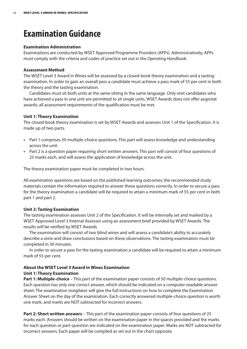## **Examination Guidance**

#### **Examination Administration**

Examinations are conducted by WSET Approved Programme Providers (APPs). Administratively, APPs must comply with the criteria and codes of practice set out in the *Operating Handbook*.

#### **Assessment Method**

The WSET Level 3 Award in Wines will be assessed by a closed-book theory examination and a tasting examination. In order to gain an overall pass a candidate must achieve a pass mark of 55 per cent in both the theory and the tasting examination.

Candidates must sit both units at the same sitting in the same language. Only resit candidates who have achieved a pass in one unit are permitted to sit single units. WSET Awards does not offer aegrotat awards; all assessment requirements of the qualification must be met.

#### **Unit 1: Theory Examination**

The closed-book theory examination is set by WSET Awards and assesses Unit 1 of the Specification. It is made up of two parts.

- **•** Part 1 comprises 50 multiple-choice questions. This part will assess knowledge and understanding across the unit.
- **•** Part 2 is a question paper requiring short written answers. This part will consist of four questions of 25 marks each, and will assess the application of knowledge across the unit.

The theory examination paper must be completed in two hours.

All examination questions are based on the published learning outcomes; the recommended study materials contain the information required to answer these questions correctly. In order to secure a pass for the theory examination a candidate will be required to attain a minimum mark of 55 per cent in both part 1 and part 2.

#### **Unit 2: Tasting Examination**

The tasting examination assesses Unit 2 of the Specification. It will be internally set and marked by a WSET Approved Level 3 Internal Assessor using an assessment brief provided by WSET Awards. The results will be verified by WSET Awards.

The examination will consist of two blind wines and will assess a candidate's ability to accurately describe a wine and draw conclusions based on these observations. The tasting examination must be completed in 30 minutes.

In order to secure a pass for the tasting examination a candidate will be required to attain a minimum mark of 55 per cent.

#### **About the WSET Level 3 Award in Wines Examination Unit 1: Theory Examination**

**Part 1: Multiple-choice** – This part of the examination paper consists of 50 multiple-choice questions. Each question has only one correct answer, which should be indicated on a computer-readable answer sheet. The examination invigilator will give the full instructions on how to complete the Examination Answer Sheet on the day of the examination. Each correctly answered multiple-choice question is worth one mark, and marks are NOT subtracted for incorrect answers.

**Part 2: Short written answers** – This part of the examination paper consists of four questions of 25 marks each. Answers should be written on the examination paper in the spaces provided and the marks for each question or part-question are indicated on the examination paper. Marks are NOT subtracted for incorrect answers. Each paper will be compiled as set out in the chart opposite.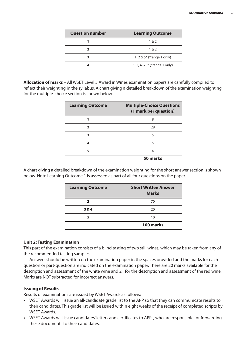| <b>Question number</b> | <b>Learning Outcome</b>        |  |
|------------------------|--------------------------------|--|
|                        | 1 & 2                          |  |
|                        | 1 & 2                          |  |
| 3                      | 1, 2 & $5*$ (*range 1 only)    |  |
|                        | 1, 3, 4 & $5*$ (*range 1 only) |  |

**Allocation of marks** – All WSET Level 3 Award in Wines examination papers are carefully compiled to reflect their weighting in the syllabus. A chart giving a detailed breakdown of the examination weighting for the multiple-choice section is shown below.

| <b>Learning Outcome</b> | <b>Multiple-Choice Questions</b><br>(1 mark per question) |
|-------------------------|-----------------------------------------------------------|
|                         | 8                                                         |
| $\mathbf{z}$            | 28                                                        |
| 3                       | 5                                                         |
| Δ                       | 5                                                         |
| 5                       | 4                                                         |
|                         | 50 marks                                                  |

A chart giving a detailed breakdown of the examination weighting for the short answer section is shown below. Note Learning Outcome 1 is assessed as part of all four questions on the paper.

| <b>Learning Outcome</b> | <b>Short Written Answer</b><br><b>Marks</b> |
|-------------------------|---------------------------------------------|
| $\overline{2}$          | 70                                          |
| 3 & 4                   | 20                                          |
| 5                       | 10                                          |
|                         | 100 marks                                   |

#### **Unit 2: Tasting Examination**

This part of the examination consists of a blind tasting of two still wines, which may be taken from any of the recommended tasting samples.

Answers should be written on the examination paper in the spaces provided and the marks for each question or part-question are indicated on the examination paper. There are 20 marks available for the description and assessment of the white wine and 21 for the description and assessment of the red wine. Marks are NOT subtracted for incorrect answers.

#### **Issuing of Results**

Results of examinations are issued by WSET Awards as follows:

- **•** WSET Awards will issue an all-candidate grade list to the APP so that they can communicate results to their candidates. This grade list will be issued within eight weeks of the receipt of completed scripts by WSET Awards.
- **•** WSET Awards will issue candidates' letters and certificates to APPs, who are responsible for forwarding these documents to their candidates.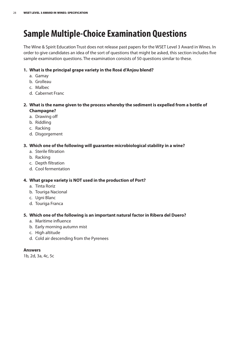## **Sample Multiple-Choice Examination Questions**

The Wine & Spirit Education Trust does not release past papers for the WSET Level 3 Award in Wines. In order to give candidates an idea of the sort of questions that might be asked, this section includes five sample examination questions. The examination consists of 50 questions similar to these.

#### **1. What is the principal grape variety in the Rosé d'Anjou blend?**

- a. Gamay
- b. Grolleau
- c. Malbec
- d. Cabernet Franc

#### **2. What is the name given to the process whereby the sediment is expelled from a bottle of Champagne?**

- a. Drawing off
- b. Riddling
- c. Racking
- d. Disgorgement

#### **3. Which one of the following will guarantee microbiological stability in a wine?**

- a. Sterile filtration
- b. Racking
- c. Depth filtration
- d. Cool fermentation

#### **4. What grape variety is NOT used in the production of Port?**

- a. Tinta Roriz
- b. Touriga Nacional
- c. Ugni Blanc
- d. Touriga Franca

#### **5. Which one of the following is an important natural factor in Ribera del Duero?**

- a. Maritime influence
- b. Early morning autumn mist
- c. High altitude
- d. Cold air descending from the Pyrenees

#### **Answers**

1b, 2d, 3a, 4c, 5c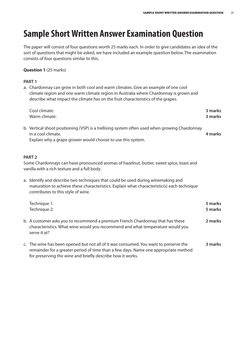## **Sample Short Written Answer Examination Question**

The paper will consist of four questions worth 25 marks each. In order to give candidates an idea of the sort of questions that might be asked, we have included an example question below. The examination consists of four questions similar to this.

#### **Question 1** (25 marks)

#### **PART 1**

a. Chardonnay can grow in both cool and warm climates. Give an example of one cool climate region and one warm climate region in Australia where Chardonnay is grown and describe what impact the climate has on the fruit characteristics of the grapes.

| Cool climate:<br>Warm climate:                                                                                                                                                                                                            | 3 marks<br>3 marks |
|-------------------------------------------------------------------------------------------------------------------------------------------------------------------------------------------------------------------------------------------|--------------------|
| b. Vertical shoot positioning (VSP) is a trellising system often used when growing Chardonnay<br>in a cool climate.<br>Explain why a grape grower would choose to use this system.                                                        | 4 marks            |
| PART <sub>2</sub>                                                                                                                                                                                                                         |                    |
| Some Chardonnays can have pronounced aromas of hazelnut, butter, sweet spice, toast and<br>vanilla with a rich texture and a full body.                                                                                                   |                    |
| a. Identify and describe two techniques that could be used during winemaking and<br>maturation to achieve these characteristics. Explain what characteristic(s) each technique<br>contributes to this style of wine.                      |                    |
| Technique 1:<br>Technique 2:                                                                                                                                                                                                              | 5 marks<br>5 marks |
| b. A customer asks you to recommend a premium French Chardonnay that has these<br>characteristics. What wine would you recommend and what temperature would you<br>serve it at?                                                           | 2 marks            |
| c. The wine has been opened but not all of it was consumed. You want to preserve the<br>remainder for a greater period of time than a few days. Name one appropriate method<br>for preserving the wine and briefly describe how it works. | 3 marks            |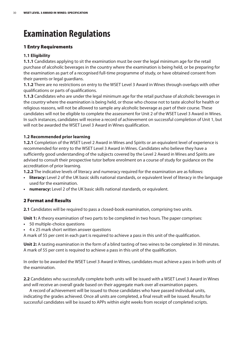## **Examination Regulations**

#### **1 Entry Requirements**

#### **1.1 Eligibility**

**1.1.1** Candidates applying to sit the examination must be over the legal minimum age for the retail purchase of alcoholic beverages in the country where the examination is being held, or be preparing for the examination as part of a recognised full-time programme of study, or have obtained consent from their parents or legal guardians.

**1.1.2** There are no restrictions on entry to the WSET Level 3 Award in Wines through overlaps with other qualifications or parts of qualifications.

**1.1.3** Candidates who are under the legal minimum age for the retail purchase of alcoholic beverages in the country where the examination is being held, or those who choose not to taste alcohol for health or religious reasons, will not be allowed to sample any alcoholic beverage as part of their course. These candidates will not be eligible to complete the assessment for Unit 2 of the WSET Level 3 Award in Wines. In such instances, candidates will receive a record of achievement on successful completion of Unit 1, but will not be awarded the WSET Level 3 Award in Wines qualification.

#### **1.2 Recommended prior learning**

**1.2.1** Completion of the WSET Level 2 Award in Wines and Spirits or an equivalent level of experience is recommended for entry to the WSET Level 3 Award in Wines. Candidates who believe they have a sufficiently good understanding of the subjects covered by the Level 2 Award in Wines and Spirits are advised to consult their prospective tutor before enrolment on a course of study for guidance on the accreditation of prior learning.

**1.2.2** The indicative levels of literacy and numeracy required for the examination are as follows:

- **• literacy:** Level 2 of the UK basic skills national standards, or equivalent level of literacy in the language used for the examination.
- **• numeracy:** Level 2 of the UK basic skills national standards, or equivalent.

#### **2 Format and Results**

**2.1** Candidates will be required to pass a closed-book examination, comprising two units.

**Unit 1:** A theory examination of two parts to be completed in two hours. The paper comprises:

- **•** 50 multiple-choice questions
- **•** 4 x 25 mark short written answer questions

A mark of 55 per cent in each part is required to achieve a pass in this unit of the qualification.

**Unit 2:** A tasting examination in the form of a blind tasting of two wines to be completed in 30 minutes. A mark of 55 per cent is required to achieve a pass in this unit of the qualification.

In order to be awarded the WSET Level 3 Award in Wines, candidates must achieve a pass in both units of the examination.

**2.2** Candidates who successfully complete both units will be issued with a WSET Level 3 Award in Wines and will receive an overall grade based on their aggregate mark over all examination papers.

A record of achievement will be issued to those candidates who have passed individual units, indicating the grades achieved. Once all units are completed, a final result will be issued. Results for successful candidates will be issued to APPs within eight weeks from receipt of completed scripts.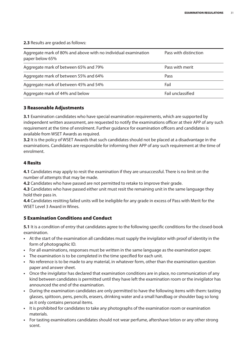**2.3** Results are graded as follows:

| Aggregate mark of 80% and above with no individual examination<br>paper below 65% | Pass with distinction |
|-----------------------------------------------------------------------------------|-----------------------|
| Aggregate mark of between 65% and 79%                                             | Pass with merit       |
| Aggregate mark of between 55% and 64%                                             | Pass                  |
| Aggregate mark of between 45% and 54%                                             | Fail                  |
| Aggregate mark of 44% and below                                                   | Fail unclassified     |

#### **3 Reasonable Adjustments**

**3.1** Examination candidates who have special examination requirements, which are supported by independent written assessment, are requested to notify the examinations officer at their APP of any such requirement at the time of enrolment. Further guidance for examination officers and candidates is available from WSET Awards as required.

**3.2** It is the policy of WSET Awards that such candidates should not be placed at a disadvantage in the examinations. Candidates are responsible for informing their APP of any such requirement at the time of enrolment.

#### **4 Resits**

**4.1** Candidates may apply to resit the examination if they are unsuccessful. There is no limit on the number of attempts that may be made.

**4.2** Candidates who have passed are not permitted to retake to improve their grade.

**4.3** Candidates who have passed either unit must resit the remaining unit in the same language they hold their pass in.

**4.4** Candidates resitting failed units will be ineligible for any grade in excess of Pass with Merit for the WSET Level 3 Award in Wines.

#### **5 Examination Conditions and Conduct**

**5.1** It is a condition of entry that candidates agree to the following specific conditions for the closed-book examination.

- **•** At the start of the examination all candidates must supply the invigilator with proof of identity in the form of photographic ID.
- **•** For all examinations, responses must be written in the same language as the examination paper.
- **•** The examination is to be completed in the time specified for each unit.
- **•** No reference is to be made to any material, in whatever form, other than the examination question paper and answer sheet.
- **•** Once the invigilator has declared that examination conditions are in place, no communication of any kind between candidates is permitted until they have left the examination room or the invigilator has announced the end of the examination.
- **•** During the examination candidates are only permitted to have the following items with them: tasting glasses, spittoon, pens, pencils, erasers, drinking water and a small handbag or shoulder bag so long as it only contains personal items.
- **•** It is prohibited for candidates to take any photographs of the examination room or examination materials.
- **•** For tasting examinations candidates should not wear perfume, aftershave lotion or any other strong scent.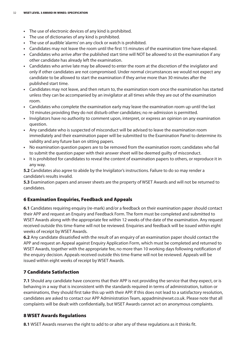- **•** The use of electronic devices of any kind is prohibited.
- **•** The use of dictionaries of any kind is prohibited.
- **•** The use of audible 'alarms'on any clock or watch is prohibited.
- **•** Candidates may not leave the room until the first 15 minutes of the examination time have elapsed.
- **•** Candidates who arrive after the published start time will NOT be allowed to sit the examination if any other candidate has already left the examination.
- **•** Candidates who arrive late may be allowed to enter the room at the discretion of the invigilator and only if other candidates are not compromised. Under normal circumstances we would not expect any candidate to be allowed to start the examination if they arrive more than 30 minutes after the published start time.
- **•** Candidates may not leave, and then return to, the examination room once the examination has started unless they can be accompanied by an invigilator at all times while they are out of the examination room.
- **•** Candidates who complete the examination early may leave the examination room up until the last 10 minutes providing they do not disturb other candidates; no re-admission is permitted.
- **•** Invigilators have no authority to comment upon, interpret, or express an opinion on any examination question.
- **•** Any candidate who is suspected of misconduct will be advised to leave the examination room immediately and their examination paper will be submitted to the Examination Panel to determine its validity and any future ban on sitting papers.
- **•** No examination question papers are to be removed from the examination room; candidates who fail to submit the question paper with their answer sheet will be deemed guilty of misconduct.
- **•** It is prohibited for candidates to reveal the content of examination papers to others, or reproduce it in any way.

**5.2** Candidates also agree to abide by the Invigilator's instructions. Failure to do so may render a candidate's results invalid.

**5.3** Examination papers and answer sheets are the property of WSET Awards and will not be returned to candidates.

#### **6 Examination Enquiries, Feedback and Appeals**

**6.1** Candidates requiring enquiry (re-mark) and/or a feedback on their examination paper should contact their APP and request an Enquiry and Feedback Form. The form must be completed and submitted to WSET Awards along with the appropriate fee within 12 weeks of the date of the examination. Any request received outside this time-frame will not be reviewed. Enquiries and feedback will be issued within eight weeks of receipt by WSET Awards.

**6.2** Any candidate dissatisfied with the result of an enquiry of an examination paper should contact the APP and request an Appeal against Enquiry Application Form, which must be completed and returned to WSET Awards, together with the appropriate fee, no more than 10 working days following notification of the enquiry decision. Appeals received outside this time-frame will not be reviewed. Appeals will be issued within eight weeks of receipt by WSET Awards.

#### **7 Candidate Satisfaction**

**7.1** Should any candidate have concerns that their APP is not providing the service that they expect, or is behaving in a way that is inconsistent with the standards required in terms of administration, tuition or examinations, they should first take this up with their APP. If this does not lead to a satisfactory resolution, candidates are asked to contact our APP Administration Team, appadmin@wset.co.uk. Please note that all complaints will be dealt with confidentially, but WSET Awards cannot act on anonymous complaints.

#### **8 WSET Awards Regulations**

**8.1** WSET Awards reserves the right to add to or alter any of these regulations as it thinks fit.